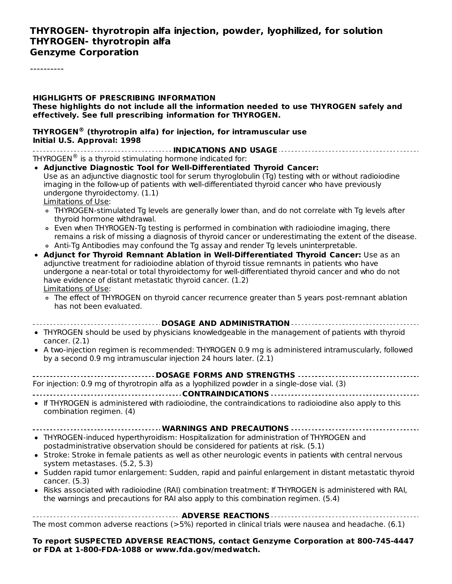#### **THYROGEN- thyrotropin alfa injection, powder, lyophilized, for solution THYROGEN- thyrotropin alfa Genzyme Corporation**

----------

| <b>HIGHLIGHTS OF PRESCRIBING INFORMATION</b><br>These highlights do not include all the information needed to use THYROGEN safely and<br>effectively. See full prescribing information for THYROGEN.                                                                                                                                                                                                                                                                                                                                                                                                                                                                                                                                                                                                                                                                                                                                                                                                                                                                                                                                                                                                                                                                                                                                                                |
|---------------------------------------------------------------------------------------------------------------------------------------------------------------------------------------------------------------------------------------------------------------------------------------------------------------------------------------------------------------------------------------------------------------------------------------------------------------------------------------------------------------------------------------------------------------------------------------------------------------------------------------------------------------------------------------------------------------------------------------------------------------------------------------------------------------------------------------------------------------------------------------------------------------------------------------------------------------------------------------------------------------------------------------------------------------------------------------------------------------------------------------------------------------------------------------------------------------------------------------------------------------------------------------------------------------------------------------------------------------------|
| <b>THYROGEN<sup>®</sup> (thyrotropin alfa) for injection, for intramuscular use</b><br>Initial U.S. Approval: 1998                                                                                                                                                                                                                                                                                                                                                                                                                                                                                                                                                                                                                                                                                                                                                                                                                                                                                                                                                                                                                                                                                                                                                                                                                                                  |
| THYROGEN® is a thyroid stimulating hormone indicated for:<br>• Adjunctive Diagnostic Tool for Well-Differentiated Thyroid Cancer:<br>Use as an adjunctive diagnostic tool for serum thyroglobulin (Tg) testing with or without radioiodine<br>imaging in the follow-up of patients with well-differentiated thyroid cancer who have previously<br>undergone thyroidectomy. (1.1)<br>Limitations of Use:<br>• THYROGEN-stimulated Tg levels are generally lower than, and do not correlate with Tg levels after<br>thyroid hormone withdrawal.<br>• Even when THYROGEN-Tg testing is performed in combination with radioiodine imaging, there<br>remains a risk of missing a diagnosis of thyroid cancer or underestimating the extent of the disease.<br>• Anti-Tg Antibodies may confound the Tg assay and render Tg levels uninterpretable.<br>• Adjunct for Thyroid Remnant Ablation in Well-Differentiated Thyroid Cancer: Use as an<br>adjunctive treatment for radioiodine ablation of thyroid tissue remnants in patients who have<br>undergone a near-total or total thyroidectomy for well-differentiated thyroid cancer and who do not<br>have evidence of distant metastatic thyroid cancer. (1.2)<br>Limitations of Use:<br>• The effect of THYROGEN on thyroid cancer recurrence greater than 5 years post-remnant ablation<br>has not been evaluated. |
| ----------------------------- DOSAGE AND ADMINISTRATION -------------------------------                                                                                                                                                                                                                                                                                                                                                                                                                                                                                                                                                                                                                                                                                                                                                                                                                                                                                                                                                                                                                                                                                                                                                                                                                                                                             |
| • THYROGEN should be used by physicians knowledgeable in the management of patients with thyroid<br>cancer. $(2.1)$<br>• A two-injection regimen is recommended: THYROGEN 0.9 mg is administered intramuscularly, followed<br>by a second 0.9 mg intramuscular injection 24 hours later. (2.1)                                                                                                                                                                                                                                                                                                                                                                                                                                                                                                                                                                                                                                                                                                                                                                                                                                                                                                                                                                                                                                                                      |
| ---------------------------DOSAGE FORMS AND STRENGTHS -----------------------------------<br>For injection: 0.9 mg of thyrotropin alfa as a lyophilized powder in a single-dose vial. (3)                                                                                                                                                                                                                                                                                                                                                                                                                                                                                                                                                                                                                                                                                                                                                                                                                                                                                                                                                                                                                                                                                                                                                                           |
| • If THYROGEN is administered with radioiodine, the contraindications to radioiodine also apply to this<br>combination regimen. (4)                                                                                                                                                                                                                                                                                                                                                                                                                                                                                                                                                                                                                                                                                                                                                                                                                                                                                                                                                                                                                                                                                                                                                                                                                                 |
| • THYROGEN-induced hyperthyroidism: Hospitalization for administration of THYROGEN and<br>postadministrative observation should be considered for patients at risk. (5.1)<br>• Stroke: Stroke in female patients as well as other neurologic events in patients with central nervous<br>system metastases. (5.2, 5.3)<br>• Sudden rapid tumor enlargement: Sudden, rapid and painful enlargement in distant metastatic thyroid<br>cancer. (5.3)<br>• Risks associated with radioiodine (RAI) combination treatment: If THYROGEN is administered with RAI,<br>the warnings and precautions for RAI also apply to this combination regimen. (5.4)                                                                                                                                                                                                                                                                                                                                                                                                                                                                                                                                                                                                                                                                                                                     |
| The most common adverse reactions $(>5%)$ reported in clinical trials were nausea and headache. $(6.1)$                                                                                                                                                                                                                                                                                                                                                                                                                                                                                                                                                                                                                                                                                                                                                                                                                                                                                                                                                                                                                                                                                                                                                                                                                                                             |
| To report SUSPECTED ADVERSE REACTIONS, contact Genzyme Corporation at 800-745-4447<br>or FDA at 1-800-FDA-1088 or www.fda.gov/medwatch.                                                                                                                                                                                                                                                                                                                                                                                                                                                                                                                                                                                                                                                                                                                                                                                                                                                                                                                                                                                                                                                                                                                                                                                                                             |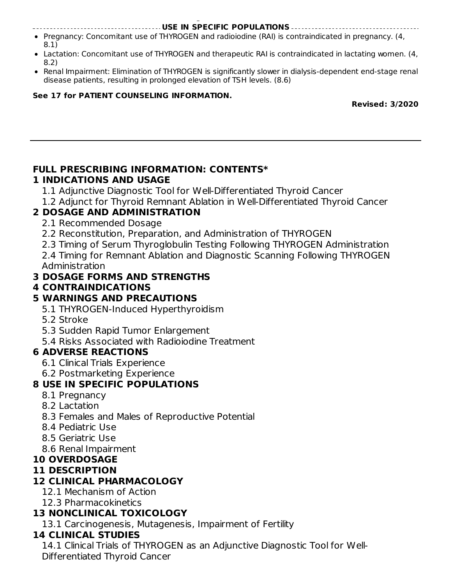**or FDA at 1-800-FDA-1088 or www.fda.gov/medwatch. USE IN SPECIFIC POPULATIONS**

- Pregnancy: Concomitant use of THYROGEN and radioiodine (RAI) is contraindicated in pregnancy. (4, 8.1)
- Lactation: Concomitant use of THYROGEN and therapeutic RAI is contraindicated in lactating women. (4, 8.2)
- Renal Impairment: Elimination of THYROGEN is significantly slower in dialysis-dependent end-stage renal disease patients, resulting in prolonged elevation of TSH levels. (8.6)

#### **See 17 for PATIENT COUNSELING INFORMATION.**

**Revised: 3/2020**

#### **FULL PRESCRIBING INFORMATION: CONTENTS\* 1 INDICATIONS AND USAGE**

- 1.1 Adjunctive Diagnostic Tool for Well-Differentiated Thyroid Cancer
- 1.2 Adjunct for Thyroid Remnant Ablation in Well-Differentiated Thyroid Cancer

## **2 DOSAGE AND ADMINISTRATION**

- 2.1 Recommended Dosage
- 2.2 Reconstitution, Preparation, and Administration of THYROGEN
- 2.3 Timing of Serum Thyroglobulin Testing Following THYROGEN Administration
- 2.4 Timing for Remnant Ablation and Diagnostic Scanning Following THYROGEN Administration

## **3 DOSAGE FORMS AND STRENGTHS**

## **4 CONTRAINDICATIONS**

## **5 WARNINGS AND PRECAUTIONS**

- 5.1 THYROGEN-Induced Hyperthyroidism
- 5.2 Stroke
- 5.3 Sudden Rapid Tumor Enlargement
- 5.4 Risks Associated with Radioiodine Treatment

## **6 ADVERSE REACTIONS**

- 6.1 Clinical Trials Experience
- 6.2 Postmarketing Experience

## **8 USE IN SPECIFIC POPULATIONS**

- 8.1 Pregnancy
- 8.2 Lactation
- 8.3 Females and Males of Reproductive Potential
- 8.4 Pediatric Use
- 8.5 Geriatric Use
- 8.6 Renal Impairment

## **10 OVERDOSAGE**

## **11 DESCRIPTION**

## **12 CLINICAL PHARMACOLOGY**

- 12.1 Mechanism of Action
- 12.3 Pharmacokinetics

## **13 NONCLINICAL TOXICOLOGY**

13.1 Carcinogenesis, Mutagenesis, Impairment of Fertility

## **14 CLINICAL STUDIES**

14.1 Clinical Trials of THYROGEN as an Adjunctive Diagnostic Tool for Well-Differentiated Thyroid Cancer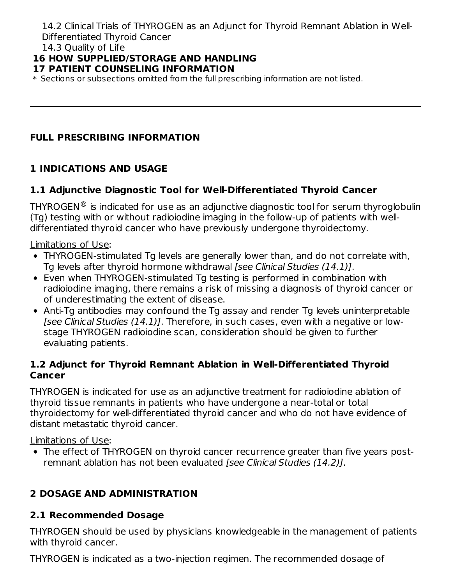14.2 Clinical Trials of THYROGEN as an Adjunct for Thyroid Remnant Ablation in Well-Differentiated Thyroid Cancer

14.3 Quality of Life

#### **16 HOW SUPPLIED/STORAGE AND HANDLING**

#### **17 PATIENT COUNSELING INFORMATION**

\* Sections or subsections omitted from the full prescribing information are not listed.

#### **FULL PRESCRIBING INFORMATION**

#### **1 INDICATIONS AND USAGE**

#### **1.1 Adjunctive Diagnostic Tool for Well-Differentiated Thyroid Cancer**

<code>THYROGEN</code>  $^{\circledR}$  is indicated for use as an adjunctive diagnostic tool for serum thyroglobulin (Tg) testing with or without radioiodine imaging in the follow-up of patients with welldifferentiated thyroid cancer who have previously undergone thyroidectomy.

Limitations of Use:

- THYROGEN-stimulated Tg levels are generally lower than, and do not correlate with, Tg levels after thyroid hormone withdrawal [see Clinical Studies (14.1)].
- Even when THYROGEN-stimulated Tg testing is performed in combination with radioiodine imaging, there remains a risk of missing a diagnosis of thyroid cancer or of underestimating the extent of disease.
- Anti-Tg antibodies may confound the Tg assay and render Tg levels uninterpretable [see Clinical Studies (14.1)]. Therefore, in such cases, even with a negative or lowstage THYROGEN radioiodine scan, consideration should be given to further evaluating patients.

#### **1.2 Adjunct for Thyroid Remnant Ablation in Well-Differentiated Thyroid Cancer**

THYROGEN is indicated for use as an adjunctive treatment for radioiodine ablation of thyroid tissue remnants in patients who have undergone a near-total or total thyroidectomy for well-differentiated thyroid cancer and who do not have evidence of distant metastatic thyroid cancer.

Limitations of Use:

The effect of THYROGEN on thyroid cancer recurrence greater than five years postremnant ablation has not been evaluated [see Clinical Studies (14.2)].

#### **2 DOSAGE AND ADMINISTRATION**

#### **2.1 Recommended Dosage**

THYROGEN should be used by physicians knowledgeable in the management of patients with thyroid cancer.

THYROGEN is indicated as a two-injection regimen. The recommended dosage of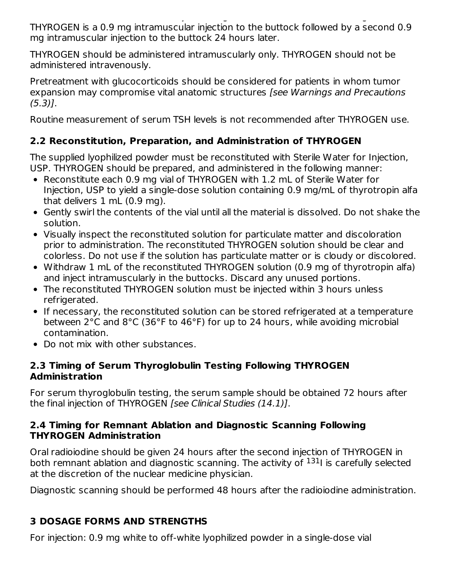The regiment is indicated as a two-injection regiment  $\mathcal{L}_\mathbf{z}$ THYROGEN is a 0.9 mg intramuscular injection to the buttock followed by a second 0.9 mg intramuscular injection to the buttock 24 hours later.

THYROGEN should be administered intramuscularly only. THYROGEN should not be administered intravenously.

Pretreatment with glucocorticoids should be considered for patients in whom tumor expansion may compromise vital anatomic structures [see Warnings and Precautions (5.3)].

Routine measurement of serum TSH levels is not recommended after THYROGEN use.

## **2.2 Reconstitution, Preparation, and Administration of THYROGEN**

The supplied lyophilized powder must be reconstituted with Sterile Water for Injection, USP. THYROGEN should be prepared, and administered in the following manner:

- Reconstitute each 0.9 mg vial of THYROGEN with 1.2 mL of Sterile Water for Injection, USP to yield a single-dose solution containing 0.9 mg/mL of thyrotropin alfa that delivers 1 mL (0.9 mg).
- Gently swirl the contents of the vial until all the material is dissolved. Do not shake the solution.
- Visually inspect the reconstituted solution for particulate matter and discoloration prior to administration. The reconstituted THYROGEN solution should be clear and colorless. Do not use if the solution has particulate matter or is cloudy or discolored.
- Withdraw 1 mL of the reconstituted THYROGEN solution (0.9 mg of thyrotropin alfa) and inject intramuscularly in the buttocks. Discard any unused portions.
- The reconstituted THYROGEN solution must be injected within 3 hours unless refrigerated.
- If necessary, the reconstituted solution can be stored refrigerated at a temperature between 2°C and 8°C (36°F to 46°F) for up to 24 hours, while avoiding microbial contamination.
- Do not mix with other substances.

#### **2.3 Timing of Serum Thyroglobulin Testing Following THYROGEN Administration**

For serum thyroglobulin testing, the serum sample should be obtained 72 hours after the final injection of THYROGEN [see Clinical Studies (14.1)].

#### **2.4 Timing for Remnant Ablation and Diagnostic Scanning Following THYROGEN Administration**

Oral radioiodine should be given 24 hours after the second injection of THYROGEN in both remnant ablation and diagnostic scanning. The activity of <sup>131</sup>I is carefully selected at the discretion of the nuclear medicine physician.

Diagnostic scanning should be performed 48 hours after the radioiodine administration.

## **3 DOSAGE FORMS AND STRENGTHS**

For injection: 0.9 mg white to off-white lyophilized powder in a single-dose vial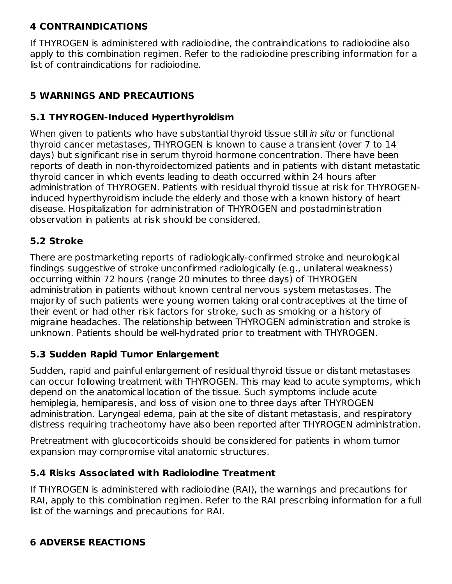#### **4 CONTRAINDICATIONS**

If THYROGEN is administered with radioiodine, the contraindications to radioiodine also apply to this combination regimen. Refer to the radioiodine prescribing information for a list of contraindications for radioiodine.

## **5 WARNINGS AND PRECAUTIONS**

#### **5.1 THYROGEN-Induced Hyperthyroidism**

When given to patients who have substantial thyroid tissue still in situ or functional thyroid cancer metastases, THYROGEN is known to cause a transient (over 7 to 14 days) but significant rise in serum thyroid hormone concentration. There have been reports of death in non-thyroidectomized patients and in patients with distant metastatic thyroid cancer in which events leading to death occurred within 24 hours after administration of THYROGEN. Patients with residual thyroid tissue at risk for THYROGENinduced hyperthyroidism include the elderly and those with a known history of heart disease. Hospitalization for administration of THYROGEN and postadministration observation in patients at risk should be considered.

#### **5.2 Stroke**

There are postmarketing reports of radiologically-confirmed stroke and neurological findings suggestive of stroke unconfirmed radiologically (e.g., unilateral weakness) occurring within 72 hours (range 20 minutes to three days) of THYROGEN administration in patients without known central nervous system metastases. The majority of such patients were young women taking oral contraceptives at the time of their event or had other risk factors for stroke, such as smoking or a history of migraine headaches. The relationship between THYROGEN administration and stroke is unknown. Patients should be well-hydrated prior to treatment with THYROGEN.

#### **5.3 Sudden Rapid Tumor Enlargement**

Sudden, rapid and painful enlargement of residual thyroid tissue or distant metastases can occur following treatment with THYROGEN. This may lead to acute symptoms, which depend on the anatomical location of the tissue. Such symptoms include acute hemiplegia, hemiparesis, and loss of vision one to three days after THYROGEN administration. Laryngeal edema, pain at the site of distant metastasis, and respiratory distress requiring tracheotomy have also been reported after THYROGEN administration.

Pretreatment with glucocorticoids should be considered for patients in whom tumor expansion may compromise vital anatomic structures.

#### **5.4 Risks Associated with Radioiodine Treatment**

If THYROGEN is administered with radioiodine (RAI), the warnings and precautions for RAI, apply to this combination regimen. Refer to the RAI prescribing information for a full list of the warnings and precautions for RAI.

#### **6 ADVERSE REACTIONS**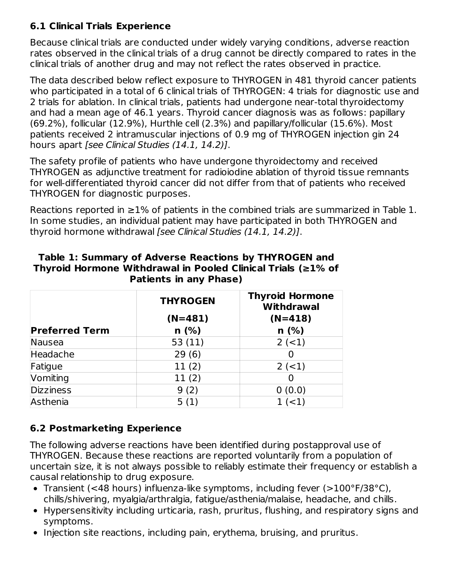#### **6.1 Clinical Trials Experience**

Because clinical trials are conducted under widely varying conditions, adverse reaction rates observed in the clinical trials of a drug cannot be directly compared to rates in the clinical trials of another drug and may not reflect the rates observed in practice.

The data described below reflect exposure to THYROGEN in 481 thyroid cancer patients who participated in a total of 6 clinical trials of THYROGEN: 4 trials for diagnostic use and 2 trials for ablation. In clinical trials, patients had undergone near-total thyroidectomy and had a mean age of 46.1 years. Thyroid cancer diagnosis was as follows: papillary (69.2%), follicular (12.9%), Hurthle cell (2.3%) and papillary/follicular (15.6%). Most patients received 2 intramuscular injections of 0.9 mg of THYROGEN injection gin 24 hours apart [see Clinical Studies (14.1, 14.2)].

The safety profile of patients who have undergone thyroidectomy and received THYROGEN as adjunctive treatment for radioiodine ablation of thyroid tissue remnants for well-differentiated thyroid cancer did not differ from that of patients who received THYROGEN for diagnostic purposes.

Reactions reported in  $\geq$ 1% of patients in the combined trials are summarized in Table 1. In some studies, an individual patient may have participated in both THYROGEN and thyroid hormone withdrawal [see Clinical Studies (14.1, 14.2)].

|                       | <b>THYROGEN</b> | <b>Thyroid Hormone</b><br><b>Withdrawal</b> |
|-----------------------|-----------------|---------------------------------------------|
|                       | $(N=481)$       | $(N=418)$                                   |
| <b>Preferred Term</b> | $n$ (%)         | n(%)                                        |
| Nausea                | 53(11)          | $2 (-1)$                                    |
| Headache              | 29(6)           |                                             |
| Fatigue               | 11(2)           | $2 (-1)$                                    |
| Vomiting              | 11(2)           |                                             |
| <b>Dizziness</b>      | 9(2)            | 0(0.0)                                      |
| Asthenia              | 5(1)            | $1 (-1)$                                    |

#### **Table 1: Summary of Adverse Reactions by THYROGEN and Thyroid Hormone Withdrawal in Pooled Clinical Trials (≥1% of Patients in any Phase)**

## **6.2 Postmarketing Experience**

The following adverse reactions have been identified during postapproval use of THYROGEN. Because these reactions are reported voluntarily from a population of uncertain size, it is not always possible to reliably estimate their frequency or establish a causal relationship to drug exposure.

- Transient (<48 hours) influenza-like symptoms, including fever (>100°F/38°C), chills/shivering, myalgia/arthralgia, fatigue/asthenia/malaise, headache, and chills.
- Hypersensitivity including urticaria, rash, pruritus, flushing, and respiratory signs and symptoms.
- Injection site reactions, including pain, erythema, bruising, and pruritus.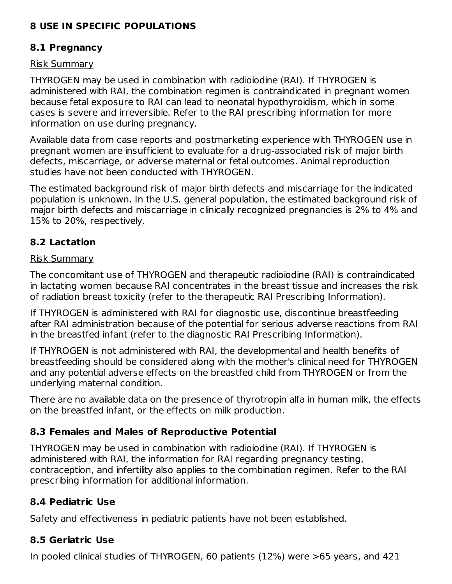#### **8 USE IN SPECIFIC POPULATIONS**

#### **8.1 Pregnancy**

#### Risk Summary

THYROGEN may be used in combination with radioiodine (RAI). If THYROGEN is administered with RAI, the combination regimen is contraindicated in pregnant women because fetal exposure to RAI can lead to neonatal hypothyroidism, which in some cases is severe and irreversible. Refer to the RAI prescribing information for more information on use during pregnancy.

Available data from case reports and postmarketing experience with THYROGEN use in pregnant women are insufficient to evaluate for a drug-associated risk of major birth defects, miscarriage, or adverse maternal or fetal outcomes. Animal reproduction studies have not been conducted with THYROGEN.

The estimated background risk of major birth defects and miscarriage for the indicated population is unknown. In the U.S. general population, the estimated background risk of major birth defects and miscarriage in clinically recognized pregnancies is 2% to 4% and 15% to 20%, respectively.

#### **8.2 Lactation**

#### Risk Summary

The concomitant use of THYROGEN and therapeutic radioiodine (RAI) is contraindicated in lactating women because RAI concentrates in the breast tissue and increases the risk of radiation breast toxicity (refer to the therapeutic RAI Prescribing Information).

If THYROGEN is administered with RAI for diagnostic use, discontinue breastfeeding after RAI administration because of the potential for serious adverse reactions from RAI in the breastfed infant (refer to the diagnostic RAI Prescribing Information).

If THYROGEN is not administered with RAI, the developmental and health benefits of breastfeeding should be considered along with the mother's clinical need for THYROGEN and any potential adverse effects on the breastfed child from THYROGEN or from the underlying maternal condition.

There are no available data on the presence of thyrotropin alfa in human milk, the effects on the breastfed infant, or the effects on milk production.

#### **8.3 Females and Males of Reproductive Potential**

THYROGEN may be used in combination with radioiodine (RAI). If THYROGEN is administered with RAI, the information for RAI regarding pregnancy testing, contraception, and infertility also applies to the combination regimen. Refer to the RAI prescribing information for additional information.

## **8.4 Pediatric Use**

Safety and effectiveness in pediatric patients have not been established.

## **8.5 Geriatric Use**

In pooled clinical studies of THYROGEN, 60 patients (12%) were >65 years, and 421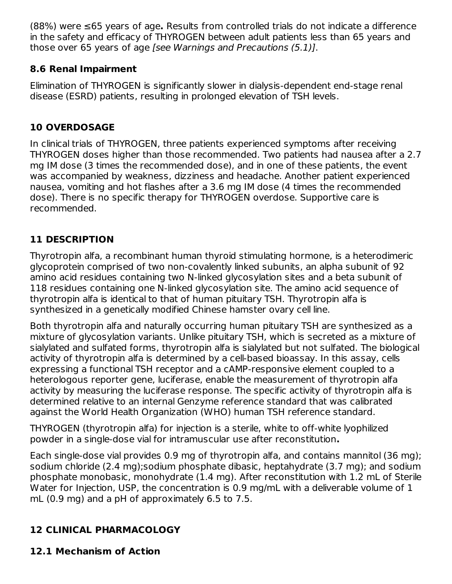(88%) were ≤65 years of age**.** Results from controlled trials do not indicate a difference in the safety and efficacy of THYROGEN between adult patients less than 65 years and those over 65 years of age [see Warnings and Precautions (5.1)].

## **8.6 Renal Impairment**

Elimination of THYROGEN is significantly slower in dialysis-dependent end-stage renal disease (ESRD) patients, resulting in prolonged elevation of TSH levels.

## **10 OVERDOSAGE**

In clinical trials of THYROGEN, three patients experienced symptoms after receiving THYROGEN doses higher than those recommended. Two patients had nausea after a 2.7 mg IM dose (3 times the recommended dose), and in one of these patients, the event was accompanied by weakness, dizziness and headache. Another patient experienced nausea, vomiting and hot flashes after a 3.6 mg IM dose (4 times the recommended dose). There is no specific therapy for THYROGEN overdose. Supportive care is recommended.

## **11 DESCRIPTION**

Thyrotropin alfa, a recombinant human thyroid stimulating hormone, is a heterodimeric glycoprotein comprised of two non-covalently linked subunits, an alpha subunit of 92 amino acid residues containing two N-linked glycosylation sites and a beta subunit of 118 residues containing one N-linked glycosylation site. The amino acid sequence of thyrotropin alfa is identical to that of human pituitary TSH. Thyrotropin alfa is synthesized in a genetically modified Chinese hamster ovary cell line.

Both thyrotropin alfa and naturally occurring human pituitary TSH are synthesized as a mixture of glycosylation variants. Unlike pituitary TSH, which is secreted as a mixture of sialylated and sulfated forms, thyrotropin alfa is sialylated but not sulfated. The biological activity of thyrotropin alfa is determined by a cell-based bioassay. In this assay, cells expressing a functional TSH receptor and a cAMP-responsive element coupled to a heterologous reporter gene, luciferase, enable the measurement of thyrotropin alfa activity by measuring the luciferase response. The specific activity of thyrotropin alfa is determined relative to an internal Genzyme reference standard that was calibrated against the World Health Organization (WHO) human TSH reference standard.

THYROGEN (thyrotropin alfa) for injection is a sterile, white to off-white lyophilized powder in a single-dose vial for intramuscular use after reconstitution**.**

Each single-dose vial provides 0.9 mg of thyrotropin alfa, and contains mannitol (36 mg); sodium chloride (2.4 mg);sodium phosphate dibasic, heptahydrate (3.7 mg); and sodium phosphate monobasic, monohydrate (1.4 mg). After reconstitution with 1.2 mL of Sterile Water for Injection, USP, the concentration is 0.9 mg/mL with a deliverable volume of 1 mL (0.9 mg) and a pH of approximately 6.5 to 7.5.

## **12 CLINICAL PHARMACOLOGY**

## **12.1 Mechanism of Action**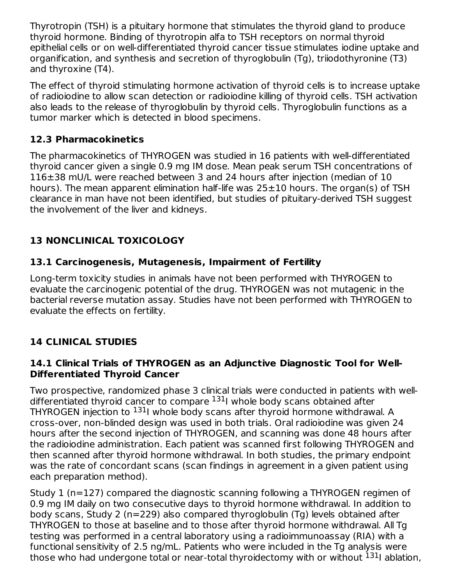Thyrotropin (TSH) is a pituitary hormone that stimulates the thyroid gland to produce thyroid hormone. Binding of thyrotropin alfa to TSH receptors on normal thyroid epithelial cells or on well-differentiated thyroid cancer tissue stimulates iodine uptake and organification, and synthesis and secretion of thyroglobulin (Tg), triiodothyronine (T3) and thyroxine (T4).

The effect of thyroid stimulating hormone activation of thyroid cells is to increase uptake of radioiodine to allow scan detection or radioiodine killing of thyroid cells. TSH activation also leads to the release of thyroglobulin by thyroid cells. Thyroglobulin functions as a tumor marker which is detected in blood specimens.

#### **12.3 Pharmacokinetics**

The pharmacokinetics of THYROGEN was studied in 16 patients with well-differentiated thyroid cancer given a single 0.9 mg IM dose. Mean peak serum TSH concentrations of 116±38 mU/L were reached between 3 and 24 hours after injection (median of 10 hours). The mean apparent elimination half-life was 25±10 hours. The organ(s) of TSH clearance in man have not been identified, but studies of pituitary-derived TSH suggest the involvement of the liver and kidneys.

## **13 NONCLINICAL TOXICOLOGY**

#### **13.1 Carcinogenesis, Mutagenesis, Impairment of Fertility**

Long-term toxicity studies in animals have not been performed with THYROGEN to evaluate the carcinogenic potential of the drug. THYROGEN was not mutagenic in the bacterial reverse mutation assay. Studies have not been performed with THYROGEN to evaluate the effects on fertility.

## **14 CLINICAL STUDIES**

#### **14.1 Clinical Trials of THYROGEN as an Adjunctive Diagnostic Tool for Well-Differentiated Thyroid Cancer**

Two prospective, randomized phase 3 clinical trials were conducted in patients with welldifferentiated thyroid cancer to compare <sup>131</sup>I whole body scans obtained after THYROGEN injection to <sup>131</sup>I whole body scans after thyroid hormone withdrawal. A cross-over, non-blinded design was used in both trials. Oral radioiodine was given 24 hours after the second injection of THYROGEN, and scanning was done 48 hours after the radioiodine administration. Each patient was scanned first following THYROGEN and then scanned after thyroid hormone withdrawal. In both studies, the primary endpoint was the rate of concordant scans (scan findings in agreement in a given patient using each preparation method).

Study 1 (n=127) compared the diagnostic scanning following a THYROGEN regimen of 0.9 mg IM daily on two consecutive days to thyroid hormone withdrawal. In addition to body scans, Study 2 (n=229) also compared thyroglobulin (Tg) levels obtained after THYROGEN to those at baseline and to those after thyroid hormone withdrawal. All Tg testing was performed in a central laboratory using a radioimmunoassay (RIA) with a functional sensitivity of 2.5 ng/mL. Patients who were included in the Tg analysis were those who had undergone total or near-total thyroidectomy with or without <sup>131</sup>l ablation,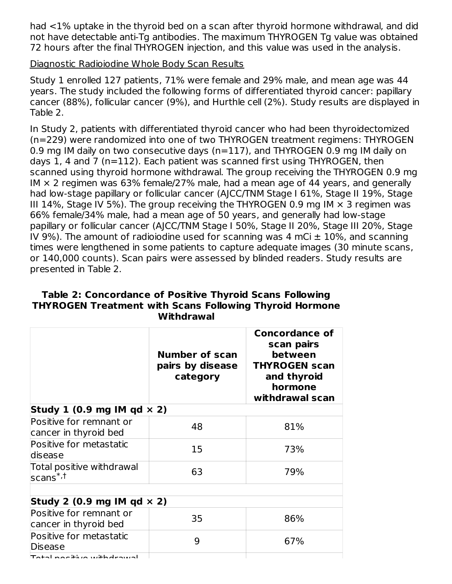had <1% uptake in the thyroid bed on a scan after thyroid hormone withdrawal, and did not have detectable anti-Tg antibodies. The maximum THYROGEN Tg value was obtained 72 hours after the final THYROGEN injection, and this value was used in the analysis.

#### Diagnostic Radioiodine Whole Body Scan Results

Study 1 enrolled 127 patients, 71% were female and 29% male, and mean age was 44 years. The study included the following forms of differentiated thyroid cancer: papillary cancer (88%), follicular cancer (9%), and Hurthle cell (2%). Study results are displayed in Table 2.

In Study 2, patients with differentiated thyroid cancer who had been thyroidectomized (n=229) were randomized into one of two THYROGEN treatment regimens: THYROGEN 0.9 mg IM daily on two consecutive days (n=117), and THYROGEN 0.9 mg IM daily on days 1, 4 and 7 (n=112). Each patient was scanned first using THYROGEN, then scanned using thyroid hormone withdrawal. The group receiving the THYROGEN 0.9 mg IM  $\times$  2 regimen was 63% female/27% male, had a mean age of 44 years, and generally had low-stage papillary or follicular cancer (AJCC/TNM Stage I 61%, Stage II 19%, Stage III 14%, Stage IV 5%). The group receiving the THYROGEN 0.9 mg IM  $\times$  3 regimen was 66% female/34% male, had a mean age of 50 years, and generally had low-stage papillary or follicular cancer (AJCC/TNM Stage I 50%, Stage II 20%, Stage III 20%, Stage IV 9%). The amount of radioiodine used for scanning was 4 mCi  $\pm$  10%, and scanning times were lengthened in some patients to capture adequate images (30 minute scans, or 140,000 counts). Scan pairs were assessed by blinded readers. Study results are presented in Table 2.

|                                                         | <b>Number of scan</b><br>pairs by disease<br>category | <b>Concordance of</b><br>scan pairs<br>between<br><b>THYROGEN scan</b><br>and thyroid<br>hormone<br>withdrawal scan |
|---------------------------------------------------------|-------------------------------------------------------|---------------------------------------------------------------------------------------------------------------------|
| Study 1 (0.9 mg IM qd $\times$ 2)                       |                                                       |                                                                                                                     |
| Positive for remnant or<br>cancer in thyroid bed        | 48                                                    | 81%                                                                                                                 |
| Positive for metastatic<br>ldisease                     | 15                                                    | 73%                                                                                                                 |
| Total positive withdrawal<br>$s$ cans $^{\ast,\dagger}$ | 63                                                    | 79%                                                                                                                 |
| Study 2 (0.9 mg IM qd $\times$ 2)                       |                                                       |                                                                                                                     |
| Positive for remnant or<br>cancer in thyroid bed        | 35                                                    | 86%                                                                                                                 |
| Positive for metastatic<br>Disease                      | 9                                                     | 67%                                                                                                                 |
| $\tau$ atal nasitiwa with drawal                        |                                                       |                                                                                                                     |

#### **Table 2: Concordance of Positive Thyroid Scans Following THYROGEN Treatment with Scans Following Thyroid Hormone Withdrawal**

 $T$ otal positive withdrawal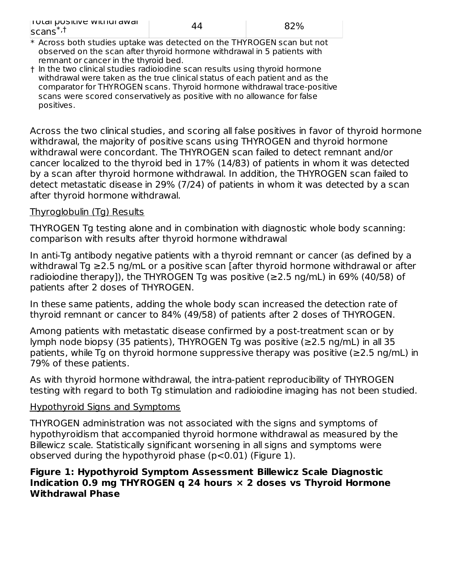| $\overline{1}$ rulai pusitive withurawai<br>$scans*$ |  |
|------------------------------------------------------|--|
|------------------------------------------------------|--|

- \* Across both studies uptake was detected on the THYROGEN scan but not observed on the scan after thyroid hormone withdrawal in 5 patients with remnant or cancer in the thyroid bed.
- † In the two clinical studies radioiodine scan results using thyroid hormone withdrawal were taken as the true clinical status of each patient and as the comparator for THYROGEN scans. Thyroid hormone withdrawal trace-positive scans were scored conservatively as positive with no allowance for false positives.

Across the two clinical studies, and scoring all false positives in favor of thyroid hormone withdrawal, the majority of positive scans using THYROGEN and thyroid hormone withdrawal were concordant. The THYROGEN scan failed to detect remnant and/or cancer localized to the thyroid bed in 17% (14/83) of patients in whom it was detected by a scan after thyroid hormone withdrawal. In addition, the THYROGEN scan failed to detect metastatic disease in 29% (7/24) of patients in whom it was detected by a scan after thyroid hormone withdrawal.

#### Thyroglobulin (Tg) Results

THYROGEN Tg testing alone and in combination with diagnostic whole body scanning: comparison with results after thyroid hormone withdrawal

In anti-Tg antibody negative patients with a thyroid remnant or cancer (as defined by a withdrawal Tg ≥2.5 ng/mL or a positive scan [after thyroid hormone withdrawal or after radioiodine therapy]), the THYROGEN Tg was positive ( $\geq$ 2.5 ng/mL) in 69% (40/58) of patients after 2 doses of THYROGEN.

In these same patients, adding the whole body scan increased the detection rate of thyroid remnant or cancer to 84% (49/58) of patients after 2 doses of THYROGEN.

Among patients with metastatic disease confirmed by a post-treatment scan or by lymph node biopsy (35 patients), THYROGEN Tg was positive (≥2.5 ng/mL) in all 35 patients, while Tg on thyroid hormone suppressive therapy was positive (≥2.5 ng/mL) in 79% of these patients.

As with thyroid hormone withdrawal, the intra-patient reproducibility of THYROGEN testing with regard to both Tg stimulation and radioiodine imaging has not been studied.

#### Hypothyroid Signs and Symptoms

THYROGEN administration was not associated with the signs and symptoms of hypothyroidism that accompanied thyroid hormone withdrawal as measured by the Billewicz scale. Statistically significant worsening in all signs and symptoms were observed during the hypothyroid phase (p<0.01) (Figure 1).

#### **Figure 1: Hypothyroid Symptom Assessment Billewicz Scale Diagnostic Indication 0.9 mg THYROGEN q 24 hours × 2 doses vs Thyroid Hormone Withdrawal Phase**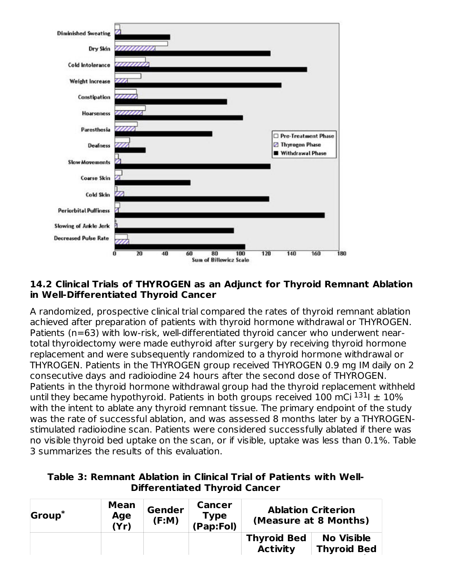

#### **14.2 Clinical Trials of THYROGEN as an Adjunct for Thyroid Remnant Ablation in Well-Differentiated Thyroid Cancer**

A randomized, prospective clinical trial compared the rates of thyroid remnant ablation achieved after preparation of patients with thyroid hormone withdrawal or THYROGEN. Patients (n=63) with low-risk, well-differentiated thyroid cancer who underwent neartotal thyroidectomy were made euthyroid after surgery by receiving thyroid hormone replacement and were subsequently randomized to a thyroid hormone withdrawal or THYROGEN. Patients in the THYROGEN group received THYROGEN 0.9 mg IM daily on 2 consecutive days and radioiodine 24 hours after the second dose of THYROGEN. Patients in the thyroid hormone withdrawal group had the thyroid replacement withheld until they became hypothyroid. Patients in both groups received 100 mCi  $^{131}$ I  $\pm$  10% with the intent to ablate any thyroid remnant tissue. The primary endpoint of the study was the rate of successful ablation, and was assessed 8 months later by a THYROGENstimulated radioiodine scan. Patients were considered successfully ablated if there was no visible thyroid bed uptake on the scan, or if visible, uptake was less than 0.1%. Table 3 summarizes the results of this evaluation.

#### **Table 3: Remnant Ablation in Clinical Trial of Patients with Well-Differentiated Thyroid Cancer**

| Group <sup>*</sup> | <b>Mean</b><br>Age<br>(Yr) | Gender<br>(F:M) | <b>Cancer</b><br><b>Type</b><br>(Pap: Fol) | (Measure at 8 Months)                 | <b>Ablation Criterion</b>               |
|--------------------|----------------------------|-----------------|--------------------------------------------|---------------------------------------|-----------------------------------------|
|                    |                            |                 |                                            | <b>Thyroid Bed</b><br><b>Activity</b> | <b>No Visible</b><br><b>Thyroid Bed</b> |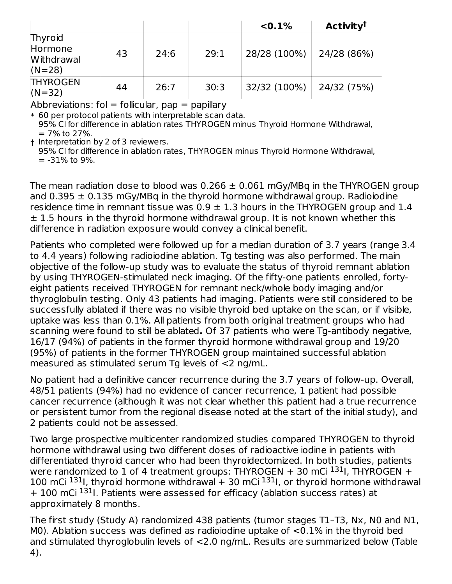|                                              |    |      |      | $< 0.1\%$    | <b>Activity<sup>t</sup></b> |
|----------------------------------------------|----|------|------|--------------|-----------------------------|
| Thyroid<br>Hormone<br>Withdrawal<br>$(N=28)$ | 43 | 24:6 | 29:1 | 28/28 (100%) | 24/28 (86%)                 |
| <b>THYROGEN</b><br>$(N=32)$                  | 44 | 26:7 | 30:3 | 32/32 (100%) | 24/32 (75%)                 |

Abbreviations:  $fol = follicular$ ,  $pap = papillary$ 

\* 60 per protocol patients with interpretable scan data.

95% CI for difference in ablation rates THYROGEN minus Thyroid Hormone Withdrawal, = 7% to 27%.

† Interpretation by 2 of 3 reviewers.

95% CI for difference in ablation rates, THYROGEN minus Thyroid Hormone Withdrawal,

 $=$  -31% to 9%.

The mean radiation dose to blood was  $0.266 \pm 0.061$  mGy/MBq in the THYROGEN group and 0.395  $\pm$  0.135 mGy/MBq in the thyroid hormone withdrawal group. Radioiodine residence time in remnant tissue was  $0.9 \pm 1.3$  hours in the THYROGEN group and 1.4  $\pm$  1.5 hours in the thyroid hormone withdrawal group. It is not known whether this difference in radiation exposure would convey a clinical benefit.

Patients who completed were followed up for a median duration of 3.7 years (range 3.4 to 4.4 years) following radioiodine ablation. Tg testing was also performed. The main objective of the follow-up study was to evaluate the status of thyroid remnant ablation by using THYROGEN-stimulated neck imaging. Of the fifty-one patients enrolled, fortyeight patients received THYROGEN for remnant neck/whole body imaging and/or thyroglobulin testing. Only 43 patients had imaging. Patients were still considered to be successfully ablated if there was no visible thyroid bed uptake on the scan, or if visible, uptake was less than 0.1%. All patients from both original treatment groups who had scanning were found to still be ablated**.** Of 37 patients who were Tg-antibody negative, 16/17 (94%) of patients in the former thyroid hormone withdrawal group and 19/20 (95%) of patients in the former THYROGEN group maintained successful ablation measured as stimulated serum Tg levels of <2 ng/mL.

No patient had a definitive cancer recurrence during the 3.7 years of follow-up. Overall, 48/51 patients (94%) had no evidence of cancer recurrence, 1 patient had possible cancer recurrence (although it was not clear whether this patient had a true recurrence or persistent tumor from the regional disease noted at the start of the initial study), and 2 patients could not be assessed.

Two large prospective multicenter randomized studies compared THYROGEN to thyroid hormone withdrawal using two different doses of radioactive iodine in patients with differentiated thyroid cancer who had been thyroidectomized. In both studies, patients were randomized to 1 of 4 treatment groups: THYROGEN  $+$  30 mCi  $^{131}$ I, THYROGEN  $+$ 100 mCi <sup>131</sup>I, thyroid hormone withdrawal + 30 mCi <sup>131</sup>I, or thyroid hormone withdrawal + 100 mCi <sup>131</sup>I. Patients were assessed for efficacy (ablation success rates) at approximately 8 months.

The first study (Study A) randomized 438 patients (tumor stages T1–T3, Nx, N0 and N1, M0). Ablation success was defined as radioiodine uptake of <0.1% in the thyroid bed and stimulated thyroglobulin levels of <2.0 ng/mL. Results are summarized below (Table 4).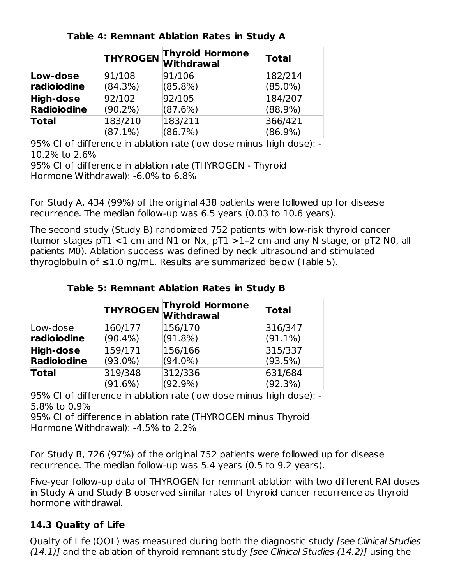|              | <b>THYROGEN</b> | <b>Thyroid Hormone</b><br>Withdrawal | <b>Total</b> |
|--------------|-----------------|--------------------------------------|--------------|
| Low-dose     | 91/108          | 91/106                               | 182/214      |
| radioiodine  | (84.3%)         | (85.8%)                              | $(85.0\%)$   |
| High-dose    | 92/102          | 92/105                               | 184/207      |
| Radioiodine  | $(90.2\%)$      | (87.6%)                              | $(88.9\%)$   |
| <b>Total</b> | 183/210         | 183/211                              | 366/421      |
|              | $(87.1\%)$      | (86.7%)                              | $(86.9\%)$   |

**Table 4: Remnant Ablation Rates in Study A**

95% CI of difference in ablation rate (low dose minus high dose): - 10.2% to 2.6%

95% CI of difference in ablation rate (THYROGEN - Thyroid Hormone Withdrawal): -6.0% to 6.8%

For Study A, 434 (99%) of the original 438 patients were followed up for disease recurrence. The median follow-up was 6.5 years (0.03 to 10.6 years).

The second study (Study B) randomized 752 patients with low-risk thyroid cancer (tumor stages  $pT1$  <1 cm and N1 or Nx,  $pT1$  >1-2 cm and any N stage, or  $pT2$  N0, all patients M0). Ablation success was defined by neck ultrasound and stimulated thyroglobulin of  $\leq 1.0$  ng/mL. Results are summarized below (Table 5).

|                    | <b>THYROGEN</b> | <b>Thyroid Hormone</b><br>Withdrawal | Total      |
|--------------------|-----------------|--------------------------------------|------------|
| Low-dose           | 160/177         | 156/170                              | 316/347    |
| radioiodine        | $(90.4\%)$      | (91.8%)                              | $(91.1\%)$ |
| High-dose          | 159/171         | 156/166                              | 315/337    |
| <b>Radioiodine</b> | $(93.0\%)$      | $(94.0\%)$                           | (93.5%)    |
| <b>Total</b>       | 319/348         | 312/336                              | 631/684    |
|                    | (91.6%)         | $(92.9\%)$                           | (92.3%)    |

**Table 5: Remnant Ablation Rates in Study B**

95% CI of difference in ablation rate (low dose minus high dose): - 5.8% to 0.9%

95% CI of difference in ablation rate (THYROGEN minus Thyroid Hormone Withdrawal): -4.5% to 2.2%

For Study B, 726 (97%) of the original 752 patients were followed up for disease recurrence. The median follow-up was 5.4 years (0.5 to 9.2 years).

Five-year follow-up data of THYROGEN for remnant ablation with two different RAI doses in Study A and Study B observed similar rates of thyroid cancer recurrence as thyroid hormone withdrawal.

#### **14.3 Quality of Life**

Quality of Life (QOL) was measured during both the diagnostic study [see Clinical Studies  $(14.1)$ ] and the ablation of thyroid remnant study [see Clinical Studies  $(14.2)$ ] using the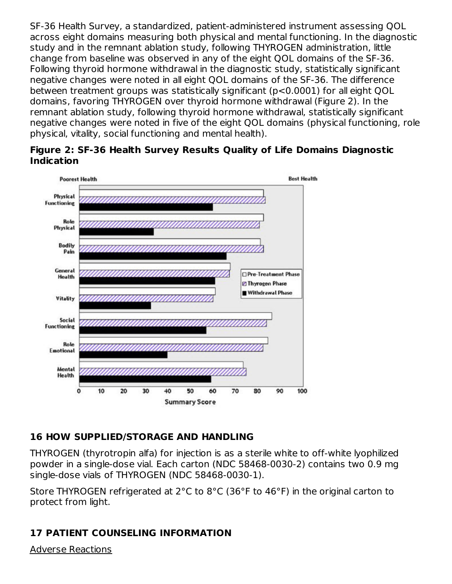SF-36 Health Survey, a standardized, patient-administered instrument assessing QOL across eight domains measuring both physical and mental functioning. In the diagnostic study and in the remnant ablation study, following THYROGEN administration, little change from baseline was observed in any of the eight QOL domains of the SF-36. Following thyroid hormone withdrawal in the diagnostic study, statistically significant negative changes were noted in all eight QOL domains of the SF-36. The difference between treatment groups was statistically significant (p<0.0001) for all eight QOL domains, favoring THYROGEN over thyroid hormone withdrawal (Figure 2). In the remnant ablation study, following thyroid hormone withdrawal, statistically significant negative changes were noted in five of the eight QOL domains (physical functioning, role physical, vitality, social functioning and mental health).





#### **16 HOW SUPPLIED/STORAGE AND HANDLING**

THYROGEN (thyrotropin alfa) for injection is as a sterile white to off-white lyophilized powder in a single-dose vial. Each carton (NDC 58468-0030-2) contains two 0.9 mg single-dose vials of THYROGEN (NDC 58468-0030-1).

Store THYROGEN refrigerated at 2°C to 8°C (36°F to 46°F) in the original carton to protect from light.

#### **17 PATIENT COUNSELING INFORMATION**

Adverse Reactions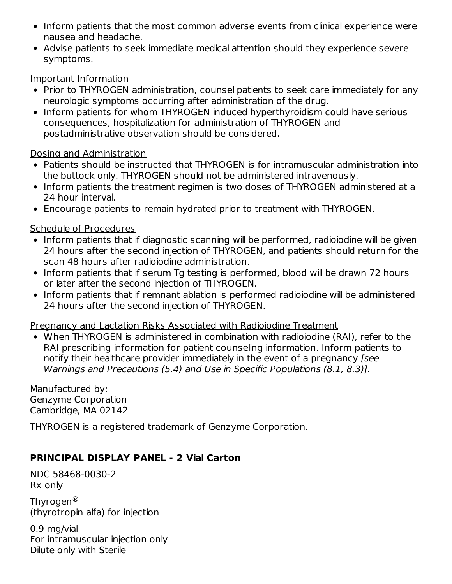- Inform patients that the most common adverse events from clinical experience were nausea and headache.
- Advise patients to seek immediate medical attention should they experience severe symptoms.

#### Important Information

- Prior to THYROGEN administration, counsel patients to seek care immediately for any neurologic symptoms occurring after administration of the drug.
- Inform patients for whom THYROGEN induced hyperthyroidism could have serious consequences, hospitalization for administration of THYROGEN and postadministrative observation should be considered.

#### Dosing and Administration

- Patients should be instructed that THYROGEN is for intramuscular administration into the buttock only. THYROGEN should not be administered intravenously.
- Inform patients the treatment regimen is two doses of THYROGEN administered at a 24 hour interval.
- Encourage patients to remain hydrated prior to treatment with THYROGEN.

#### Schedule of Procedures

- Inform patients that if diagnostic scanning will be performed, radioiodine will be given 24 hours after the second injection of THYROGEN, and patients should return for the scan 48 hours after radioiodine administration.
- Inform patients that if serum Tg testing is performed, blood will be drawn 72 hours or later after the second injection of THYROGEN.
- Inform patients that if remnant ablation is performed radioiodine will be administered 24 hours after the second injection of THYROGEN.

#### Pregnancy and Lactation Risks Associated with Radioiodine Treatment

When THYROGEN is administered in combination with radioiodine (RAI), refer to the RAI prescribing information for patient counseling information. Inform patients to notify their healthcare provider immediately in the event of a pregnancy [see Warnings and Precautions (5.4) and Use in Specific Populations (8.1, 8.3)].

Manufactured by: Genzyme Corporation Cambridge, MA 02142

THYROGEN is a registered trademark of Genzyme Corporation.

#### **PRINCIPAL DISPLAY PANEL - 2 Vial Carton**

NDC 58468-0030-2 Rx only

Thyrogen $^\circledR$ (thyrotropin alfa) for injection

0.9 mg/vial For intramuscular injection only Dilute only with Sterile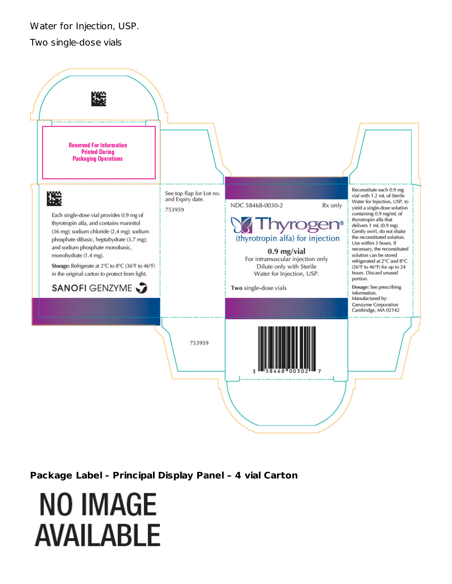Water for Injection, USP.

Two single-dose vials



**Package Label - Principal Display Panel – 4 vial Carton**

# **NO IMAGE AVAILABLE**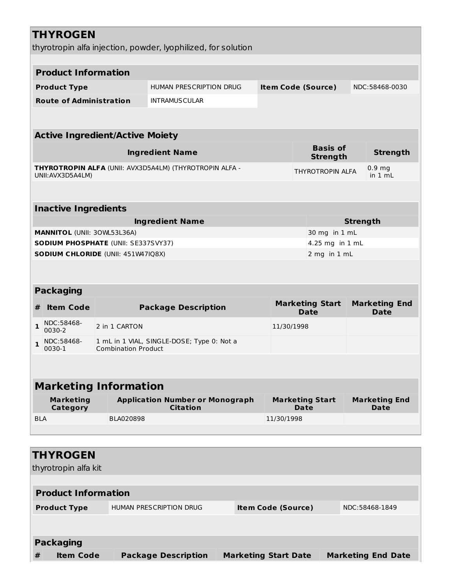|              | <b>THYROGEN</b>                     |                                                                                         | thyrotropin alfa injection, powder, lyophilized, for solution |                             |                           |                                       |                 |                                        |
|--------------|-------------------------------------|-----------------------------------------------------------------------------------------|---------------------------------------------------------------|-----------------------------|---------------------------|---------------------------------------|-----------------|----------------------------------------|
|              |                                     |                                                                                         |                                                               |                             |                           |                                       |                 |                                        |
|              | <b>Product Information</b>          |                                                                                         |                                                               |                             |                           |                                       |                 |                                        |
|              | <b>Product Type</b>                 |                                                                                         | <b>HUMAN PRESCRIPTION DRUG</b>                                |                             |                           | <b>Item Code (Source)</b>             |                 | NDC:58468-0030                         |
|              | <b>Route of Administration</b>      |                                                                                         | <b>INTRAMUSCULAR</b>                                          |                             |                           |                                       |                 |                                        |
|              |                                     |                                                                                         |                                                               |                             |                           |                                       |                 |                                        |
|              |                                     | <b>Active Ingredient/Active Moiety</b>                                                  |                                                               |                             |                           |                                       |                 |                                        |
|              |                                     |                                                                                         | <b>Ingredient Name</b>                                        |                             |                           | <b>Basis of</b><br><b>Strength</b>    |                 | <b>Strength</b>                        |
|              | UNII: AVX3D5A4LM)                   |                                                                                         | THYROTROPIN ALFA (UNII: AVX3D5A4LM) (THYROTROPIN ALFA -       |                             |                           | <b>THYROTROPIN ALFA</b>               |                 | 0.9 <sub>mg</sub><br>in $1 \text{ mL}$ |
|              | <b>Inactive Ingredients</b>         |                                                                                         |                                                               |                             |                           |                                       |                 |                                        |
|              |                                     |                                                                                         | <b>Ingredient Name</b>                                        |                             |                           |                                       | <b>Strength</b> |                                        |
|              | <b>MANNITOL (UNII: 30WL53L36A)</b>  |                                                                                         |                                                               |                             |                           | 30 mg in 1 mL                         |                 |                                        |
|              |                                     | <b>SODIUM PHOSPHATE (UNII: SE337SVY37)</b><br><b>SODIUM CHLORIDE (UNII: 451W47IQ8X)</b> |                                                               |                             |                           | 4.25 mg in 1 mL<br>2 mg in 1 mL       |                 |                                        |
|              |                                     |                                                                                         |                                                               |                             |                           |                                       |                 |                                        |
|              | <b>Packaging</b>                    |                                                                                         |                                                               |                             |                           |                                       |                 |                                        |
| #            | <b>Item Code</b>                    |                                                                                         | <b>Package Description</b>                                    |                             |                           | <b>Marketing Start</b><br><b>Date</b> |                 | <b>Marketing End</b><br><b>Date</b>    |
| $\mathbf{1}$ | NDC:58468-<br>0030-2                | 2 in 1 CARTON                                                                           |                                                               |                             | 11/30/1998                |                                       |                 |                                        |
| 1            | NDC:58468-<br>0030-1                | <b>Combination Product</b>                                                              | 1 mL in 1 VIAL, SINGLE-DOSE; Type 0: Not a                    |                             |                           |                                       |                 |                                        |
|              |                                     |                                                                                         |                                                               |                             |                           |                                       |                 |                                        |
|              |                                     | <b>Marketing Information</b>                                                            |                                                               |                             |                           |                                       |                 |                                        |
|              | <b>Marketing</b><br><b>Category</b> |                                                                                         | <b>Application Number or Monograph</b><br><b>Citation</b>     |                             |                           | <b>Marketing Start</b><br><b>Date</b> |                 | <b>Marketing End</b><br>Date           |
| <b>BLA</b>   |                                     | BLA020898                                                                               |                                                               |                             | 11/30/1998                |                                       |                 |                                        |
|              | <b>THYROGEN</b>                     |                                                                                         |                                                               |                             |                           |                                       |                 |                                        |
|              | thyrotropin alfa kit                |                                                                                         |                                                               |                             |                           |                                       |                 |                                        |
|              | <b>Product Information</b>          |                                                                                         |                                                               |                             |                           |                                       |                 |                                        |
|              | <b>Product Type</b>                 |                                                                                         | <b>HUMAN PRESCRIPTION DRUG</b>                                |                             | <b>Item Code (Source)</b> |                                       |                 | NDC:58468-1849                         |
|              |                                     |                                                                                         |                                                               |                             |                           |                                       |                 |                                        |
|              | <b>Packaging</b>                    |                                                                                         |                                                               |                             |                           |                                       |                 |                                        |
| $\#$         | <b>Item Code</b>                    |                                                                                         | <b>Package Description</b>                                    | <b>Marketing Start Date</b> |                           |                                       |                 | <b>Marketing End Date</b>              |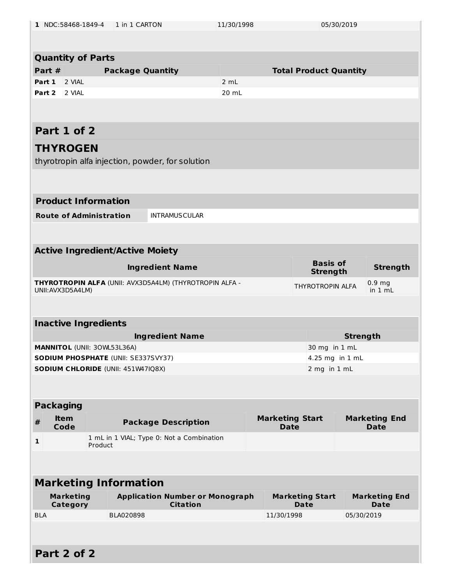| 1 NDC:58468-1849-4         |                              | 1 in 1 CARTON                              |                                                           | 11/30/1998                    |                                       | 05/30/2019                            |                 |                                     |
|----------------------------|------------------------------|--------------------------------------------|-----------------------------------------------------------|-------------------------------|---------------------------------------|---------------------------------------|-----------------|-------------------------------------|
|                            |                              |                                            |                                                           |                               |                                       |                                       |                 |                                     |
| <b>Quantity of Parts</b>   |                              |                                            |                                                           |                               |                                       |                                       |                 |                                     |
| Part #                     | <b>Package Quantity</b>      |                                            |                                                           | <b>Total Product Quantity</b> |                                       |                                       |                 |                                     |
| Part 1                     | 2 VIAL                       |                                            |                                                           | 2 mL                          |                                       |                                       |                 |                                     |
| Part 2                     | 2 VIAL                       |                                            |                                                           | 20 mL                         |                                       |                                       |                 |                                     |
|                            |                              |                                            |                                                           |                               |                                       |                                       |                 |                                     |
| Part 1 of 2                |                              |                                            |                                                           |                               |                                       |                                       |                 |                                     |
| <b>THYROGEN</b>            |                              |                                            |                                                           |                               |                                       |                                       |                 |                                     |
|                            |                              |                                            | thyrotropin alfa injection, powder, for solution          |                               |                                       |                                       |                 |                                     |
|                            |                              |                                            |                                                           |                               |                                       |                                       |                 |                                     |
| <b>Product Information</b> |                              |                                            |                                                           |                               |                                       |                                       |                 |                                     |
|                            |                              | <b>Route of Administration</b>             | <b>INTRAMUSCULAR</b>                                      |                               |                                       |                                       |                 |                                     |
|                            |                              |                                            |                                                           |                               |                                       |                                       |                 |                                     |
|                            |                              | <b>Active Ingredient/Active Moiety</b>     |                                                           |                               |                                       |                                       |                 |                                     |
|                            |                              |                                            | <b>Ingredient Name</b>                                    |                               |                                       | <b>Basis of</b><br><b>Strength</b>    |                 | <b>Strength</b>                     |
| UNII: AVX3D5A4LM)          |                              |                                            | THYROTROPIN ALFA (UNII: AVX3D5A4LM) (THYROTROPIN ALFA -   |                               |                                       | THYROTROPIN ALFA                      |                 | 0.9 <sub>mg</sub><br>in 1 mL        |
|                            |                              |                                            |                                                           |                               |                                       |                                       |                 |                                     |
|                            |                              | <b>Inactive Ingredients</b>                |                                                           |                               |                                       |                                       |                 |                                     |
|                            |                              |                                            | <b>Ingredient Name</b>                                    |                               |                                       |                                       | <b>Strength</b> |                                     |
|                            |                              | MANNITOL (UNII: 30WL53L36A)                |                                                           |                               |                                       | 30 mg in 1 mL                         |                 |                                     |
|                            |                              | <b>SODIUM PHOSPHATE (UNII: SE337SVY37)</b> |                                                           |                               |                                       | 4.25 mg in 1 mL                       |                 |                                     |
|                            |                              | SODIUM CHLORIDE (UNII: 451W47IQ8X)         |                                                           |                               |                                       | 2 mg in 1 mL                          |                 |                                     |
|                            |                              |                                            |                                                           |                               |                                       |                                       |                 |                                     |
| <b>Packaging</b>           |                              |                                            |                                                           |                               |                                       |                                       |                 |                                     |
| #                          | <b>Item</b><br>Code          |                                            | <b>Package Description</b>                                |                               | <b>Marketing Start</b><br><b>Date</b> |                                       |                 | <b>Marketing End</b><br><b>Date</b> |
| $\mathbf{1}$               |                              | Product                                    | 1 mL in 1 VIAL; Type 0: Not a Combination                 |                               |                                       |                                       |                 |                                     |
|                            |                              |                                            |                                                           |                               |                                       |                                       |                 |                                     |
|                            |                              |                                            |                                                           |                               |                                       |                                       |                 |                                     |
|                            |                              | <b>Marketing Information</b>               |                                                           |                               |                                       |                                       |                 |                                     |
|                            | <b>Marketing</b><br>Category |                                            | <b>Application Number or Monograph</b><br><b>Citation</b> |                               |                                       | <b>Marketing Start</b><br><b>Date</b> |                 | <b>Marketing End</b><br><b>Date</b> |
| <b>BLA</b>                 |                              | BLA020898                                  |                                                           |                               | 11/30/1998                            |                                       | 05/30/2019      |                                     |
|                            |                              |                                            |                                                           |                               |                                       |                                       |                 |                                     |
| Part 2 of 2                |                              |                                            |                                                           |                               |                                       |                                       |                 |                                     |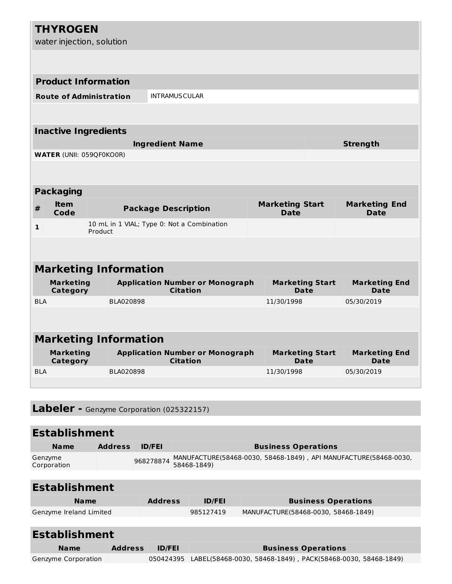|            | <b>THYROGEN</b><br>water injection, solution |                                |                                                           |                                       |                                     |  |
|------------|----------------------------------------------|--------------------------------|-----------------------------------------------------------|---------------------------------------|-------------------------------------|--|
|            |                                              |                                |                                                           |                                       |                                     |  |
|            |                                              | <b>Product Information</b>     |                                                           |                                       |                                     |  |
|            |                                              | <b>Route of Administration</b> | <b>INTRAMUSCULAR</b>                                      |                                       |                                     |  |
|            |                                              |                                |                                                           |                                       |                                     |  |
|            | <b>Inactive Ingredients</b>                  |                                |                                                           |                                       |                                     |  |
|            |                                              |                                | <b>Ingredient Name</b>                                    |                                       | <b>Strength</b>                     |  |
|            | <b>WATER (UNII: 059QF0KO0R)</b>              |                                |                                                           |                                       |                                     |  |
|            |                                              |                                |                                                           |                                       |                                     |  |
|            | <b>Packaging</b>                             |                                |                                                           |                                       |                                     |  |
|            |                                              |                                |                                                           |                                       |                                     |  |
| #          | <b>Item</b><br>Code                          |                                | <b>Package Description</b>                                | <b>Marketing Start</b><br><b>Date</b> | <b>Marketing End</b><br><b>Date</b> |  |
| 1          |                                              | Product                        | 10 mL in 1 VIAL; Type 0: Not a Combination                |                                       |                                     |  |
|            |                                              |                                |                                                           |                                       |                                     |  |
|            |                                              | <b>Marketing Information</b>   |                                                           |                                       |                                     |  |
|            | <b>Marketing</b><br>Category                 |                                | <b>Application Number or Monograph</b><br><b>Citation</b> | <b>Marketing Start</b><br>Date        | <b>Marketing End</b><br><b>Date</b> |  |
| <b>BIA</b> |                                              | BLA020898                      |                                                           | 11/30/1998                            | 05/30/2019                          |  |
|            |                                              |                                |                                                           |                                       |                                     |  |
|            |                                              | <b>Marketing Information</b>   |                                                           |                                       |                                     |  |
|            | <b>Marketing</b><br>Category                 |                                | <b>Application Number or Monograph</b><br><b>Citation</b> | <b>Marketing Start</b><br><b>Date</b> | <b>Marketing End</b><br><b>Date</b> |  |
| <b>BLA</b> |                                              | BLA020898                      |                                                           | 11/30/1998                            | 05/30/2019                          |  |

|  |  |  |  | Labeler - Genzyme Corporation (025322157) |
|--|--|--|--|-------------------------------------------|
|--|--|--|--|-------------------------------------------|

## **Establishment Name Address ID/FEI Business Operations**

| Genzyme<br>Corporation | 968278874 MANUFACTURE(58468-0030, 58468-1849) , API MANUFACTURE(58468-0030, |
|------------------------|-----------------------------------------------------------------------------|
|                        |                                                                             |
| <b>Establishment</b>   |                                                                             |

| <b>Name</b>             | <b>Address</b> | <b>ID/FEI</b> | <b>Business Operations</b>          |  |
|-------------------------|----------------|---------------|-------------------------------------|--|
| Genzyme Ireland Limited |                | 985127419     | MANUFACTURE(58468-0030, 58468-1849) |  |
|                         |                |               |                                     |  |

| <b>Establishment</b> |                |               |                                                                       |  |
|----------------------|----------------|---------------|-----------------------------------------------------------------------|--|
| <b>Name</b>          | <b>Address</b> | <b>ID/FEI</b> | <b>Business Operations</b>                                            |  |
| Genzyme Corporation  |                |               | 050424395 LABEL(58468-0030, 58468-1849), PACK(58468-0030, 58468-1849) |  |